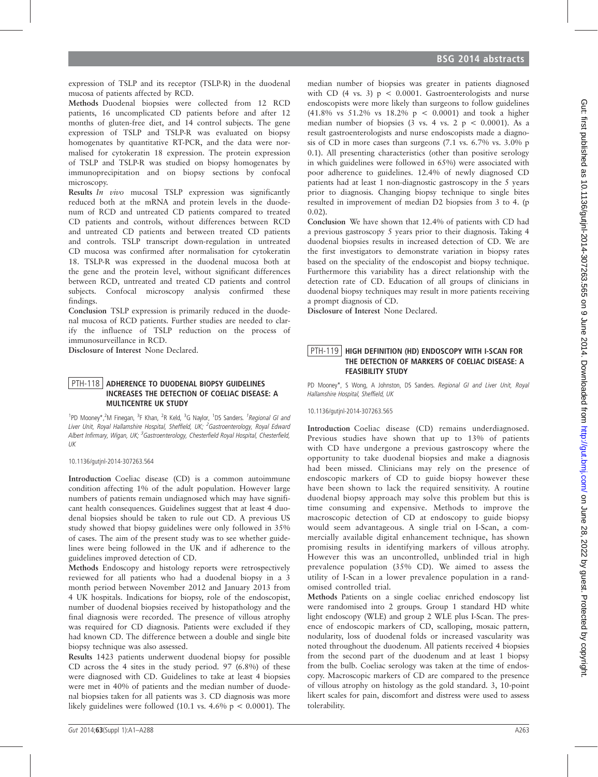expression of TSLP and its receptor (TSLP-R) in the duodenal mucosa of patients affected by RCD.

Methods Duodenal biopsies were collected from 12 RCD patients, 16 uncomplicated CD patients before and after 12 months of gluten-free diet, and 14 control subjects. The gene expression of TSLP and TSLP-R was evaluated on biopsy homogenates by quantitative RT-PCR, and the data were normalised for cytokeratin 18 expression. The protein expression of TSLP and TSLP-R was studied on biopsy homogenates by immunoprecipitation and on biopsy sections by confocal microscopy.

Results In vivo mucosal TSLP expression was significantly reduced both at the mRNA and protein levels in the duodenum of RCD and untreated CD patients compared to treated CD patients and controls, without differences between RCD and untreated CD patients and between treated CD patients and controls. TSLP transcript down-regulation in untreated CD mucosa was confirmed after normalisation for cytokeratin 18. TSLP-R was expressed in the duodenal mucosa both at the gene and the protein level, without significant differences between RCD, untreated and treated CD patients and control subjects. Confocal microscopy analysis confirmed these findings.

Conclusion TSLP expression is primarily reduced in the duodenal mucosa of RCD patients. Further studies are needed to clarify the influence of TSLP reduction on the process of immunosurveillance in RCD.

Disclosure of Interest None Declared.

## PTH-118 ADHERENCE TO DUODENAL BIOPSY GUIDELINES INCREASES THE DETECTION OF COELIAC DISEASE: A MULTICENTRE UK STUDY

<sup>1</sup>PD Mooney\*,<sup>2</sup>M Finegan, <sup>3</sup>F Khan, <sup>2</sup>R Keld, <sup>3</sup>G Naylor, <sup>1</sup>DS Sanders. <sup>1</sup>Regional GI and Liver Unit, Royal Hallamshire Hospital, Sheffield, UK; <sup>2</sup>Gastroenterology, Royal Edward Albert Infirmary, Wigan, UK; <sup>3</sup>Gastroenterology, Chesterfield Royal Hospital, Chesterfield, UK

10.1136/gutjnl-2014-307263.564

Introduction Coeliac disease (CD) is a common autoimmune condition affecting 1% of the adult population. However large numbers of patients remain undiagnosed which may have significant health consequences. Guidelines suggest that at least 4 duodenal biopsies should be taken to rule out CD. A previous US study showed that biopsy guidelines were only followed in 35% of cases. The aim of the present study was to see whether guidelines were being followed in the UK and if adherence to the guidelines improved detection of CD.

Methods Endoscopy and histology reports were retrospectively reviewed for all patients who had a duodenal biopsy in a 3 month period between November 2012 and January 2013 from 4 UK hospitals. Indications for biopsy, role of the endoscopist, number of duodenal biopsies received by histopathology and the final diagnosis were recorded. The presence of villous atrophy was required for CD diagnosis. Patients were excluded if they had known CD. The difference between a double and single bite biopsy technique was also assessed.

Results 1423 patients underwent duodenal biopsy for possible CD across the 4 sites in the study period. 97 (6.8%) of these were diagnosed with CD. Guidelines to take at least 4 biopsies were met in 40% of patients and the median number of duodenal biopsies taken for all patients was 3. CD diagnosis was more likely guidelines were followed (10.1 vs.  $4.6\%$  p < 0.0001). The median number of biopsies was greater in patients diagnosed with CD  $(4 \text{ vs. } 3)$   $p \le 0.0001$ . Gastroenterologists and nurse endoscopists were more likely than surgeons to follow guidelines (41.8% vs 51.2% vs 18.2% p < 0.0001) and took a higher median number of biopsies  $(3 \text{ vs. } 4 \text{ vs. } 2 \text{ p} < 0.0001)$ . As a result gastroenterologists and nurse endoscopists made a diagnosis of CD in more cases than surgeons (7.1 vs. 6.7% vs. 3.0% p 0.1). All presenting characteristics (other than positive serology in which guidelines were followed in 65%) were associated with poor adherence to guidelines. 12.4% of newly diagnosed CD patients had at least 1 non-diagnostic gastroscopy in the 5 years prior to diagnosis. Changing biopsy technique to single bites resulted in improvement of median D2 biopsies from 3 to 4. (p 0.02).

Conclusion We have shown that 12.4% of patients with CD had a previous gastroscopy 5 years prior to their diagnosis. Taking 4 duodenal biopsies results in increased detection of CD. We are the first investigators to demonstrate variation in biopsy rates based on the speciality of the endoscopist and biopsy technique. Furthermore this variability has a direct relationship with the detection rate of CD. Education of all groups of clinicians in duodenal biopsy techniques may result in more patients receiving a prompt diagnosis of CD.

Disclosure of Interest None Declared.

# PTH-119 | HIGH DEFINITION (HD) ENDOSCOPY WITH I-SCAN FOR THE DETECTION OF MARKERS OF COELIAC DISEASE: A FEASIBILITY STUDY

PD Mooney\*, S Wong, A Johnston, DS Sanders. Regional GI and Liver Unit, Royal Hallamshire Hospital, Sheffield, UK

10.1136/gutjnl-2014-307263.565

Introduction Coeliac disease (CD) remains underdiagnosed. Previous studies have shown that up to 13% of patients with CD have undergone a previous gastroscopy where the opportunity to take duodenal biopsies and make a diagnosis had been missed. Clinicians may rely on the presence of endoscopic markers of CD to guide biopsy however these have been shown to lack the required sensitivity. A routine duodenal biopsy approach may solve this problem but this is time consuming and expensive. Methods to improve the macroscopic detection of CD at endoscopy to guide biopsy would seem advantageous. A single trial on I-Scan, a commercially available digital enhancement technique, has shown promising results in identifying markers of villous atrophy. However this was an uncontrolled, unblinded trial in high prevalence population (35% CD). We aimed to assess the utility of I-Scan in a lower prevalence population in a randomised controlled trial.

Methods Patients on a single coeliac enriched endoscopy list were randomised into 2 groups. Group 1 standard HD white light endoscopy (WLE) and group 2 WLE plus I-Scan. The presence of endoscopic markers of CD, scalloping, mosaic pattern, nodularity, loss of duodenal folds or increased vascularity was noted throughout the duodenum. All patients received 4 biopsies from the second part of the duodenum and at least 1 biopsy from the bulb. Coeliac serology was taken at the time of endoscopy. Macroscopic markers of CD are compared to the presence of villous atrophy on histology as the gold standard. 3, 10-point likert scales for pain, discomfort and distress were used to assess tolerability.